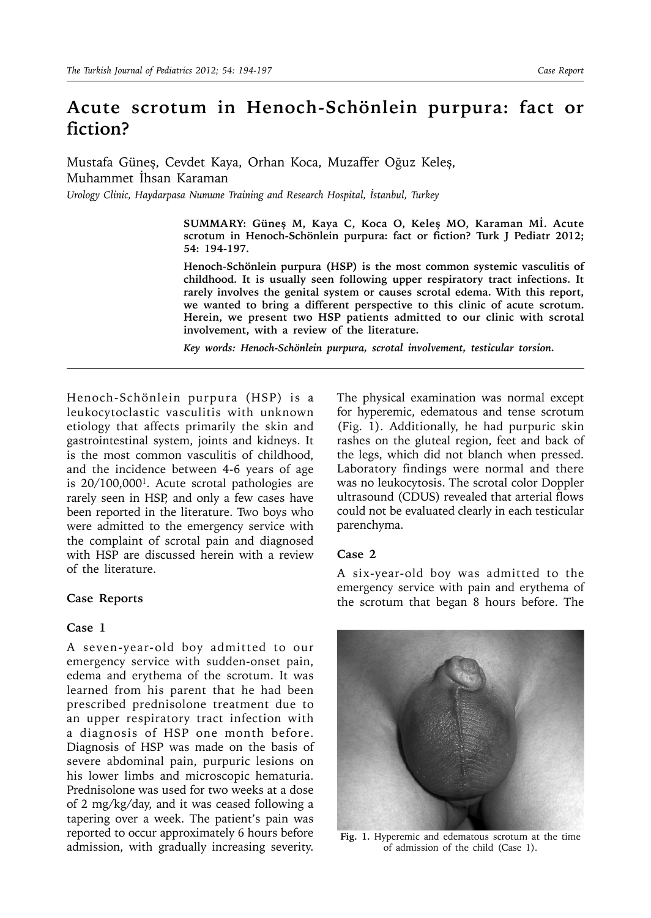# **Acute scrotum in Henoch-Schönlein purpura: fact or fiction?**

Mustafa Güneş, Cevdet Kaya, Orhan Koca, Muzaffer Oğuz Keleş, Muhammet İhsan Karaman

*Urology Clinic, Haydarpasa Numune Training and Research Hospital, İstanbul, Turkey*

**SUMMARY: Güneş M, Kaya C, Koca O, Keleş MO, Karaman Mİ. Acute scrotum in Henoch-Schönlein purpura: fact or fiction? Turk J Pediatr 2012; 54: 194-197.**

**Henoch-Schönlein purpura (HSP) is the most common systemic vasculitis of childhood. It is usually seen following upper respiratory tract infections. It rarely involves the genital system or causes scrotal edema. With this report, we wanted to bring a different perspective to this clinic of acute scrotum. Herein, we present two HSP patients admitted to our clinic with scrotal involvement, with a review of the literature.** 

*Key words: Henoch-Schönlein purpura, scrotal involvement, testicular torsion.* 

Henoch-Schönlein purpura (HSP) is a leukocytoclastic vasculitis with unknown etiology that affects primarily the skin and gastrointestinal system, joints and kidneys. It is the most common vasculitis of childhood, and the incidence between 4-6 years of age is 20/100,0001. Acute scrotal pathologies are rarely seen in HSP, and only a few cases have been reported in the literature. Two boys who were admitted to the emergency service with the complaint of scrotal pain and diagnosed with HSP are discussed herein with a review of the literature.

## **Case Reports**

## **Case 1**

A seven-year-old boy admitted to our emergency service with sudden-onset pain, edema and erythema of the scrotum. It was learned from his parent that he had been prescribed prednisolone treatment due to an upper respiratory tract infection with a diagnosis of HSP one month before. Diagnosis of HSP was made on the basis of severe abdominal pain, purpuric lesions on his lower limbs and microscopic hematuria. Prednisolone was used for two weeks at a dose of 2 mg/kg/day, and it was ceased following a tapering over a week. The patient's pain was reported to occur approximately 6 hours before admission, with gradually increasing severity.

The physical examination was normal except for hyperemic, edematous and tense scrotum (Fig. 1). Additionally, he had purpuric skin rashes on the gluteal region, feet and back of the legs, which did not blanch when pressed. Laboratory findings were normal and there was no leukocytosis. The scrotal color Doppler ultrasound (CDUS) revealed that arterial flows could not be evaluated clearly in each testicular parenchyma.

#### **Case 2**

A six-year-old boy was admitted to the emergency service with pain and erythema of the scrotum that began 8 hours before. The



**Fig. 1.** Hyperemic and edematous scrotum at the time of admission of the child (Case 1).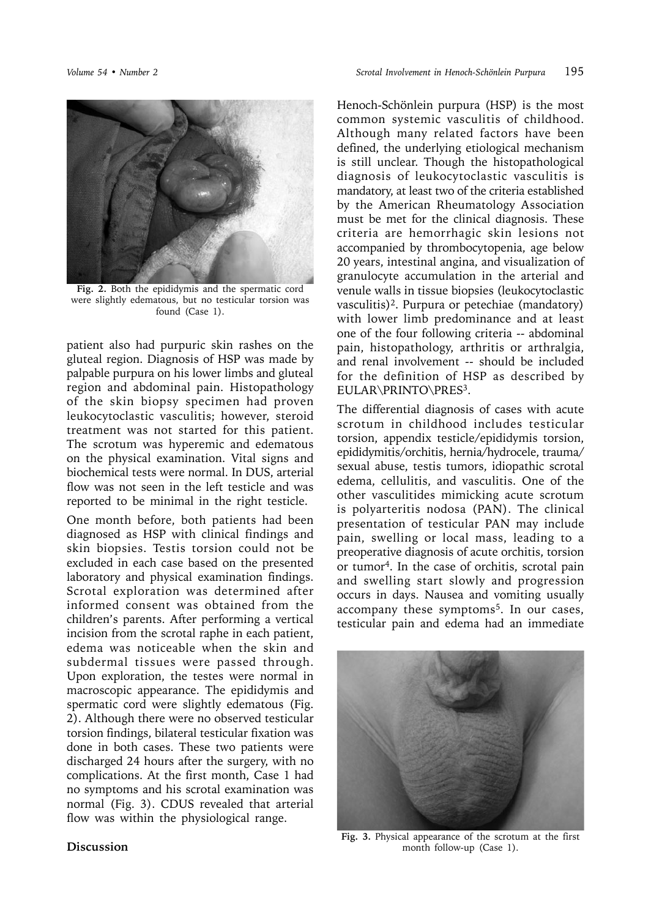

**Fig. 2.** Both the epididymis and the spermatic cord were slightly edematous, but no testicular torsion was found (Case 1).

patient also had purpuric skin rashes on the gluteal region. Diagnosis of HSP was made by palpable purpura on his lower limbs and gluteal region and abdominal pain. Histopathology of the skin biopsy specimen had proven leukocytoclastic vasculitis; however, steroid treatment was not started for this patient. The scrotum was hyperemic and edematous on the physical examination. Vital signs and biochemical tests were normal. In DUS, arterial flow was not seen in the left testicle and was reported to be minimal in the right testicle.

One month before, both patients had been diagnosed as HSP with clinical findings and skin biopsies. Testis torsion could not be excluded in each case based on the presented laboratory and physical examination findings. Scrotal exploration was determined after informed consent was obtained from the children's parents. After performing a vertical incision from the scrotal raphe in each patient, edema was noticeable when the skin and subdermal tissues were passed through. Upon exploration, the testes were normal in macroscopic appearance. The epididymis and spermatic cord were slightly edematous (Fig. 2). Although there were no observed testicular torsion findings, bilateral testicular fixation was done in both cases. These two patients were discharged 24 hours after the surgery, with no complications. At the first month, Case 1 had no symptoms and his scrotal examination was normal (Fig. 3). CDUS revealed that arterial flow was within the physiological range.

Henoch-Schönlein purpura (HSP) is the most common systemic vasculitis of childhood. Although many related factors have been defined, the underlying etiological mechanism is still unclear. Though the histopathological diagnosis of leukocytoclastic vasculitis is mandatory, at least two of the criteria established by the American Rheumatology Association must be met for the clinical diagnosis. These criteria are hemorrhagic skin lesions not accompanied by thrombocytopenia, age below 20 years, intestinal angina, and visualization of granulocyte accumulation in the arterial and venule walls in tissue biopsies (leukocytoclastic vasculitis)2. Purpura or petechiae (mandatory) with lower limb predominance and at least one of the four following criteria -- abdominal pain, histopathology, arthritis or arthralgia, and renal involvement -- should be included for the definition of HSP as described by EULAR\PRINTO\PRES3.

The differential diagnosis of cases with acute scrotum in childhood includes testicular torsion, appendix testicle/epididymis torsion, epididymitis/orchitis, hernia/hydrocele, trauma/ sexual abuse, testis tumors, idiopathic scrotal edema, cellulitis, and vasculitis. One of the other vasculitides mimicking acute scrotum is polyarteritis nodosa (PAN). The clinical presentation of testicular PAN may include pain, swelling or local mass, leading to a preoperative diagnosis of acute orchitis, torsion or tumor4. In the case of orchitis, scrotal pain and swelling start slowly and progression occurs in days. Nausea and vomiting usually accompany these symptoms<sup>5</sup>. In our cases, testicular pain and edema had an immediate



**Fig. 3.** Physical appearance of the scrotum at the first month follow-up (Case 1).

### **Discussion**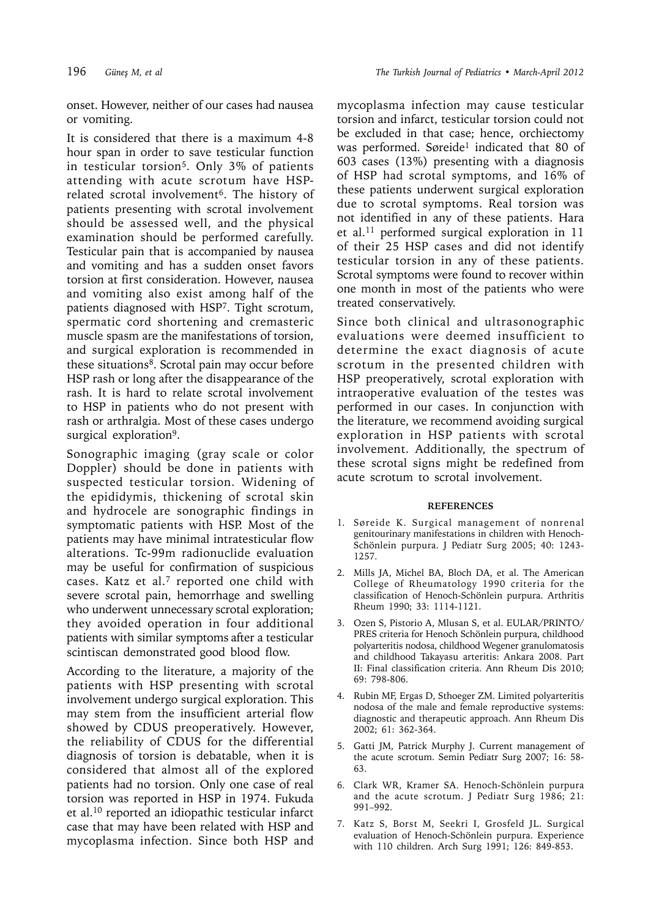onset. However, neither of our cases had nausea or vomiting.

It is considered that there is a maximum 4-8 hour span in order to save testicular function in testicular torsion<sup>5</sup>. Only 3% of patients attending with acute scrotum have HSPrelated scrotal involvement<sup>6</sup>. The history of patients presenting with scrotal involvement should be assessed well, and the physical examination should be performed carefully. Testicular pain that is accompanied by nausea and vomiting and has a sudden onset favors torsion at first consideration. However, nausea and vomiting also exist among half of the patients diagnosed with HSP7. Tight scrotum, spermatic cord shortening and cremasteric muscle spasm are the manifestations of torsion, and surgical exploration is recommended in these situations<sup>8</sup>. Scrotal pain may occur before HSP rash or long after the disappearance of the rash. It is hard to relate scrotal involvement to HSP in patients who do not present with rash or arthralgia. Most of these cases undergo surgical exploration<sup>9</sup>.

Sonographic imaging (gray scale or color Doppler) should be done in patients with suspected testicular torsion. Widening of the epididymis, thickening of scrotal skin and hydrocele are sonographic findings in symptomatic patients with HSP. Most of the patients may have minimal intratesticular flow alterations. Tc-99m radionuclide evaluation may be useful for confirmation of suspicious cases. Katz et al. $7$  reported one child with severe scrotal pain, hemorrhage and swelling who underwent unnecessary scrotal exploration; they avoided operation in four additional patients with similar symptoms after a testicular scintiscan demonstrated good blood flow.

According to the literature, a majority of the patients with HSP presenting with scrotal involvement undergo surgical exploration. This may stem from the insufficient arterial flow showed by CDUS preoperatively. However, the reliability of CDUS for the differential diagnosis of torsion is debatable, when it is considered that almost all of the explored patients had no torsion. Only one case of real torsion was reported in HSP in 1974. Fukuda et al.10 reported an idiopathic testicular infarct case that may have been related with HSP and mycoplasma infection. Since both HSP and mycoplasma infection may cause testicular torsion and infarct, testicular torsion could not be excluded in that case; hence, orchiectomy was performed. Søreide<sup>1</sup> indicated that 80 of 603 cases (13%) presenting with a diagnosis of HSP had scrotal symptoms, and 16% of these patients underwent surgical exploration due to scrotal symptoms. Real torsion was not identified in any of these patients. Hara et al.11 performed surgical exploration in 11 of their 25 HSP cases and did not identify testicular torsion in any of these patients. Scrotal symptoms were found to recover within one month in most of the patients who were treated conservatively.

Since both clinical and ultrasonographic evaluations were deemed insufficient to determine the exact diagnosis of acute scrotum in the presented children with HSP preoperatively, scrotal exploration with intraoperative evaluation of the testes was performed in our cases. In conjunction with the literature, we recommend avoiding surgical exploration in HSP patients with scrotal involvement. Additionally, the spectrum of these scrotal signs might be redefined from acute scrotum to scrotal involvement.

#### **REFERENCES**

- 1. Søreide K. Surgical management of nonrenal genitourinary manifestations in children with Henoch-Schönlein purpura. J Pediatr Surg 2005; 40: 1243- 1257.
- 2. Mills JA, Michel BA, Bloch DA, et al. The American College of Rheumatology 1990 criteria for the classification of Henoch-Schönlein purpura. Arthritis Rheum 1990; 33: 1114-1121.
- 3. Ozen S, Pistorio A, Mlusan S, et al. EULAR/PRINTO/ PRES criteria for Henoch Schönlein purpura, childhood polyarteritis nodosa, childhood Wegener granulomatosis and childhood Takayasu arteritis: Ankara 2008. Part II: Final classification criteria. Ann Rheum Dis 2010; 69: 798-806.
- 4. Rubin MF, Ergas D, Sthoeger ZM. Limited polyarteritis nodosa of the male and female reproductive systems: diagnostic and therapeutic approach. Ann Rheum Dis 2002; 61: 362-364.
- 5. Gatti JM, Patrick Murphy J. Current management of the acute scrotum. Semin Pediatr Surg 2007; 16: 58- 63.
- 6. Clark WR, Kramer SA. Henoch-Schönlein purpura and the acute scrotum. J Pediatr Surg 1986; 21: 991–992.
- 7. Katz S, Borst M, Seekri I, Grosfeld JL. Surgical evaluation of Henoch-Schönlein purpura. Experience with 110 children. Arch Surg 1991; 126: 849-853.